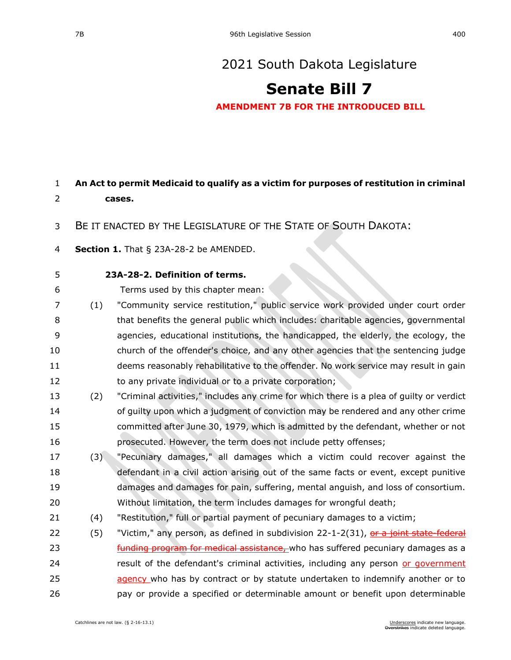## [2021 South Dakota Legislature](https://sdlegislature.gov/Session/Bills/44)

## **[Senate Bill 7](https://sdlegislature.gov/Session/Bill/21880)**

**AMENDMENT 7B FOR THE INTRODUCED BILL**

## **An Act to permit Medicaid to qualify as a victim for purposes of restitution in criminal cases.**

- BE IT ENACTED BY THE LEGISLATURE OF THE STATE OF SOUTH DAKOTA:
- **Section 1.** [That § 23A-28-2 be AMENDED.](https://sdlegislature.gov/Statutes/Codified_Laws/DisplayStatute.aspx?Type=Statute&Statute=23A-28-2)
- 

## **[23A-28-2. D](https://sdlegislature.gov/Statutes/Codified_Laws/DisplayStatute.aspx?Type=Statute&Statute=23A-28-2)efinition of terms.**

Terms used by this chapter mean:

- (1) "Community service restitution," public service work provided under court order that benefits the general public which includes: charitable agencies, governmental agencies, educational institutions, the handicapped, the elderly, the ecology, the church of the offender's choice, and any other agencies that the sentencing judge deems reasonably rehabilitative to the offender. No work service may result in gain to any private individual or to a private corporation;
- (2) "Criminal activities," includes any crime for which there is a plea of guilty or verdict of guilty upon which a judgment of conviction may be rendered and any other crime committed after June 30, 1979, which is admitted by the defendant, whether or not prosecuted. However, the term does not include petty offenses;
- (3) "Pecuniary damages," all damages which a victim could recover against the defendant in a civil action arising out of the same facts or event, except punitive damages and damages for pain, suffering, mental anguish, and loss of consortium. Without limitation, the term includes damages for wrongful death;
- (4) "Restitution," full or partial payment of pecuniary damages to a victim;
- 22 (5) "Victim," any person, as defined in subdivision [22-1-2\(](https://sdlegislature.gov/Statutes/Codified_Laws/DisplayStatute.aspx?Type=Statute&Statute=22-1-2)31), or a joint state-federal **EXEL FUNDING PROGRAM FOR MEDICAL ASSISTANCE,** who has suffered pecuniary damages as a 24 result of the defendant's criminal activities, including any person or government 25 agency who has by contract or by statute undertaken to indemnify another or to pay or provide a specified or determinable amount or benefit upon determinable